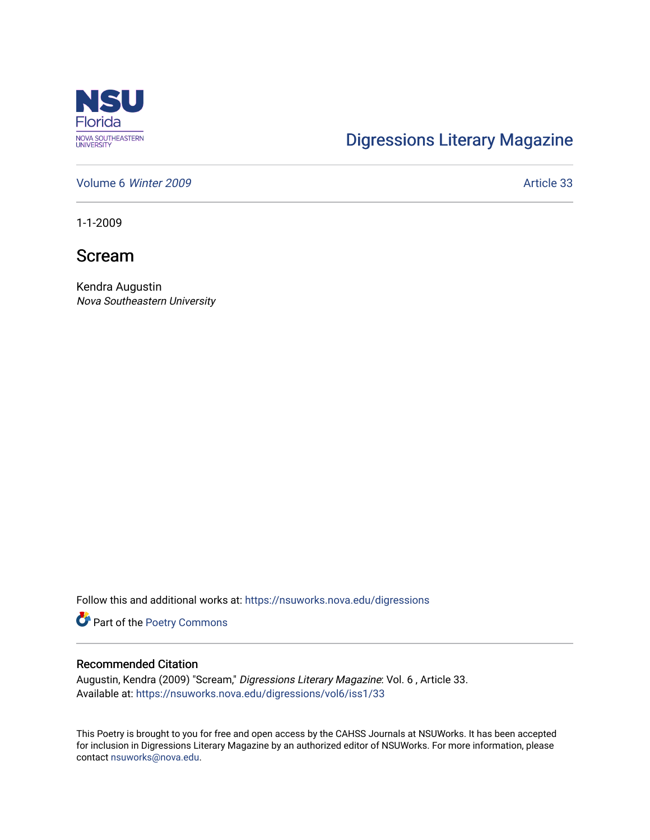

## [Digressions Literary Magazine](https://nsuworks.nova.edu/digressions)

[Volume 6](https://nsuworks.nova.edu/digressions/vol6) Winter 2009 **Article 33** 

1-1-2009

Scream

Kendra Augustin Nova Southeastern University

Follow this and additional works at: [https://nsuworks.nova.edu/digressions](https://nsuworks.nova.edu/digressions?utm_source=nsuworks.nova.edu%2Fdigressions%2Fvol6%2Fiss1%2F33&utm_medium=PDF&utm_campaign=PDFCoverPages) 

Part of the [Poetry Commons](http://network.bepress.com/hgg/discipline/1153?utm_source=nsuworks.nova.edu%2Fdigressions%2Fvol6%2Fiss1%2F33&utm_medium=PDF&utm_campaign=PDFCoverPages) 

## Recommended Citation

Augustin, Kendra (2009) "Scream," Digressions Literary Magazine: Vol. 6 , Article 33. Available at: [https://nsuworks.nova.edu/digressions/vol6/iss1/33](https://nsuworks.nova.edu/digressions/vol6/iss1/33?utm_source=nsuworks.nova.edu%2Fdigressions%2Fvol6%2Fiss1%2F33&utm_medium=PDF&utm_campaign=PDFCoverPages) 

This Poetry is brought to you for free and open access by the CAHSS Journals at NSUWorks. It has been accepted for inclusion in Digressions Literary Magazine by an authorized editor of NSUWorks. For more information, please contact [nsuworks@nova.edu.](mailto:nsuworks@nova.edu)